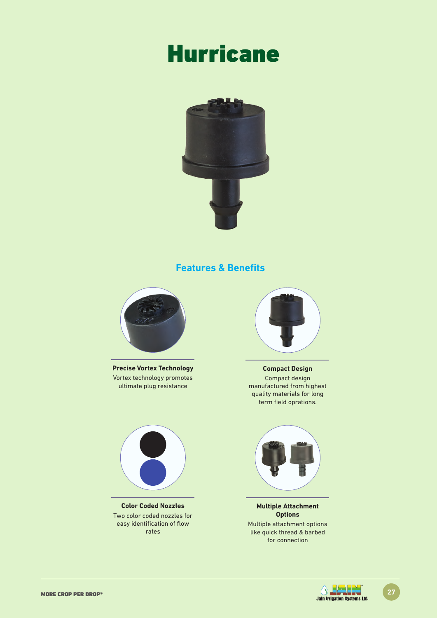# **Hurricane**



### **Features & Benefits**



**Precise Vortex Technology** Vortex technology promotes ultimate plug resistance



**Color Coded Nozzles** Two color coded nozzles for easy identification of flow rates



**Compact Design** Compact design manufactured from highest quality materials for long term field oprations.



**Multiple Attachment Options** Multiple attachment options like quick thread & barbed for connection